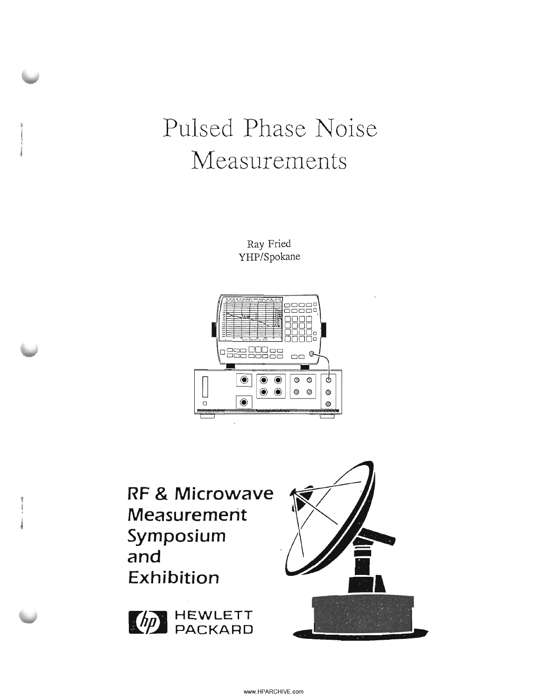# Pulsed Phase Noise Measurements

Ray Fried YHP/Spokane



**RF & Microwave Measurement** Symposium and Exhibition



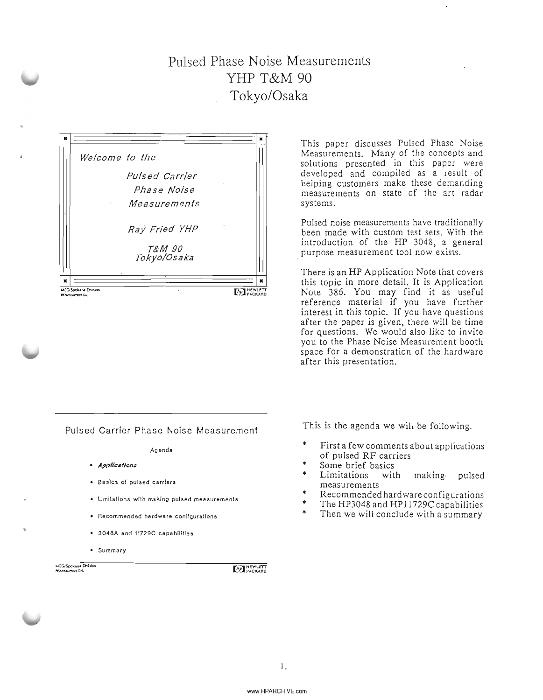# Pulsed Phase Noise Measurements YHP T&M 90 Tokyo/Osaka



This paper discusses Pulsed Phase Noise Measurements. Many of the concepts and solutions presented in this paper were developed and compiled as a result of helping customers make these demanding measurements on state of the art radar systems.

Pulsed noise measurements have traditionally been made with custom test sets. With the introduction of the HP 3048, a general purpose measurement tool now exists.

Note 386. You may find it as useful reference material if you have further interest in this topic. If you have Questions after the paper is given, there will be time for Questions. We would also like to invite you to the Phase Noise Measurement booth space for a demonstration of the hardware after this presentation.

Pulsed Carrier Phase Noise Measurement This is the agenda we will be following.

Agenda

- · Applications
- BasIcs of pulsed carriers
- Umltatlons with makIng pulsed measurements
- Recommended hardware configurations
- 3048A and 11729C capabilities
- Summary

**MCG/Spokane Division** 

**ED HEWLETT** 

- \* First a few comments about applications of pulsed RF carriers
- \* Some brief basics
- \* Limitations with making· pulsed measurements
- \* Recommended hardware configurations
- \* The HP3048 and HP11729C capabilities
- \* Then we will conclude with a summary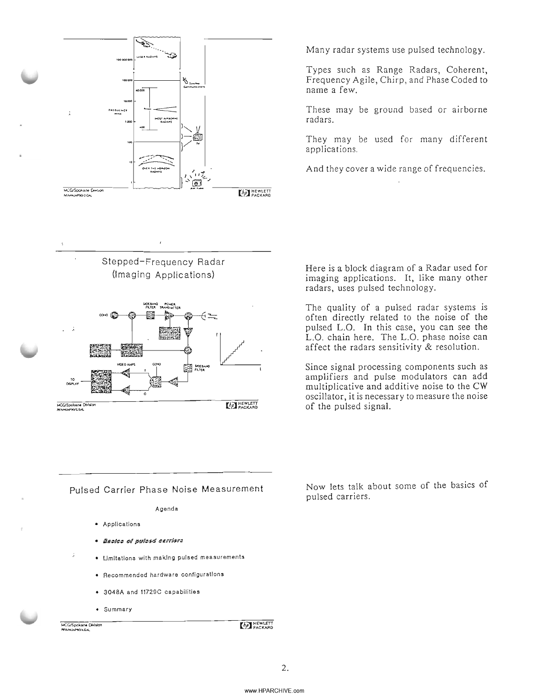

Many radar systems use pulsed technology.

Types such as Range Radars, Coherent, Frequency Agile, Chirp, and Phase Coded to name a few.

These may be ground based or airborne radars.

They may be used for many different applications.

And they cover a wide range of frequencies.





Pulsed Carrier Phase Noise Measurement

#### Agenda

- Applications
- · Bacico of pulced carriers
- Umitations with making pulsed measurements
	- Recommended hardware configurallons
	- 3048A and 11729C capabilities
	- Summary

**HCG/Spokane DMslo** 

**THEWLETT** 

Here is a block diagram of a Radar used for imaging applications. It, like many other radars, uses pulsed technology.

The quality of a pulsed radar systems is often directly related to the noise of the pulsed L.C. In this case, you can see the L.C. chain here. The L.C. phase noise can affect the radars sensitivity & resolution.

Since signal processing components such as amplifiers and pulse modulators can add multiplicative and additive noise to the CW oscillator, it is necessary to measure the noise of the pulsed signal.

Now lets talk about some of the basics of pulsed carriers.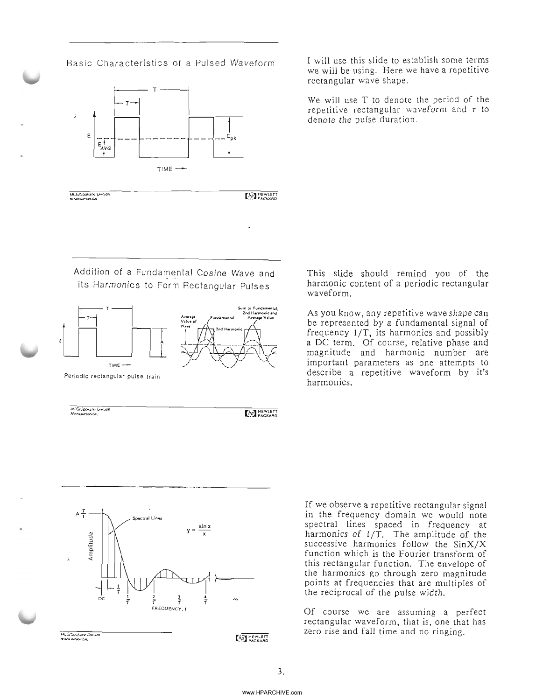



MCG/Spokane Limsie

(AP) HEWLETT

Addition of a Fundamental Cosine Wave and its Harmonics to Form Rectangular Pulses



Periodic rectangular pulse train

MCCUSONAIN CANSON<br>Namusegos.col



**MCGGASLANE Umann**<br>Mann server Call

**(AP)** HEWLETT

(hp) HEWLETT

I will use this slide to establish some terms we will be using. Here we have a repetitive rectangular wave shape.

We will use T to denote the period of the repetitive rectangular waveform and  $\tau$  to denote the pulse duration.

This slide should remind you of the harmonic content of a periodic rectangular waveform.

As you know, any repetitive wave shape can be represented by a fundamental signal of frequency 1/T, its harmonics and possibly a DC term. Of course, relative phase and magnitude and harmonic number are important parameters as one attempts to describe a repetitive waveform by it's harmonics.

If we observe a repetitive rectangular signal in the frequency domain we would note spectral lines spaced in frequency at harmonics of 1/T. The amplitude of the successive harmonics follow the SinX/X function which is the Fourier transform of this rectangular function. The envelope of the harmonics go through zero magnitude points at frequencies that are multiples of the reciprocal of the pulse width.

Of course we are assuming a perfect rectangular waveform, that is, one that has zero rise and fall time and no ringing.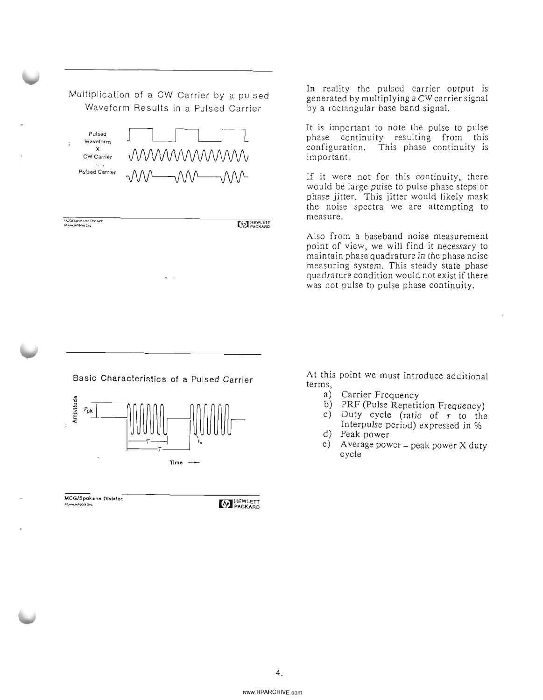Multiplication of a CW Carrier by a pulsed Waveform Results in a Pulsed Carrier



MCG/Spokani, Division **NONIGONACHI** 

**ED HEWLETT** 

In reality the pulsed carrier output is generated by multiplying a CW carrier signal by a rectangular base band signal.

It is important to note the pulse to pulse phase continuity resulting from this configuration. This phase continuity is important.

If it were not for this continuity, there would be large pulse to pulse phase steps or phase jitter. This jitter would likely mask the noise spectra we are attempting to measure.

Also from a baseband noise measurement point of view, we will find it necessary to maintain phase quadrature in the phase noise measuring system. This steady state phase quadrature condition would not exist if there was not pulse to pulse phase continuity.

Basic Characteristics of a Pulsed Carrier



MCG/Spokane Dlvlalon ,......,.,..,..,... IT.'I HEWLETT I.:ZAI PACKARD

At this point we must introduce additional terms,

- Carrier Frequency a)
- b) PRF (Pulse Repetition Frequency)
- $\sum$  Duty cycle (ratio of  $\tau$  to the Interpulse period) expressed in %
- d) Peak power
- e) Average power = peak power  $X$  duty cycle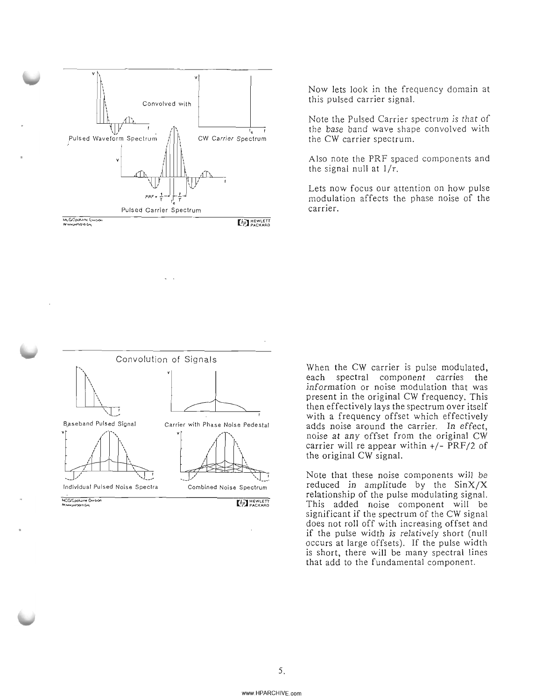

Now lets look in the frequency domain at this pulsed carrier signal.

Note the Pulsed Carrier spectrum is that of the base band wave shape convolved with the CW carrier spectrum.

Also note the PRF spaced components and the signal null at  $1/r$ .

Lets now focus our attention on how pulse modulation affects the phase noise of the carrier.



When the CW carrier is pulse modulated, each spectral component carries the information or noise modulation that was present in the original CW frequency. This then effectively lays the spectrum over itself with a frequency offset which effectively adds noise around the carrier. In effect, noise at any offset from the original CW carrier will re appear within  $+/-$  PRF/2 of the original CW signal.

Note that these noise components will be reduced in amplitude by the SinX/X relationship of the pulse modulating signal. This added noise component will be significant if the spectrum of the CW signal does not roll off with increasing offset and if the pulse width is relatively short (null occurs at large offsets). If the pulse width is short, there will be many spectral lines that add to the fundamental component.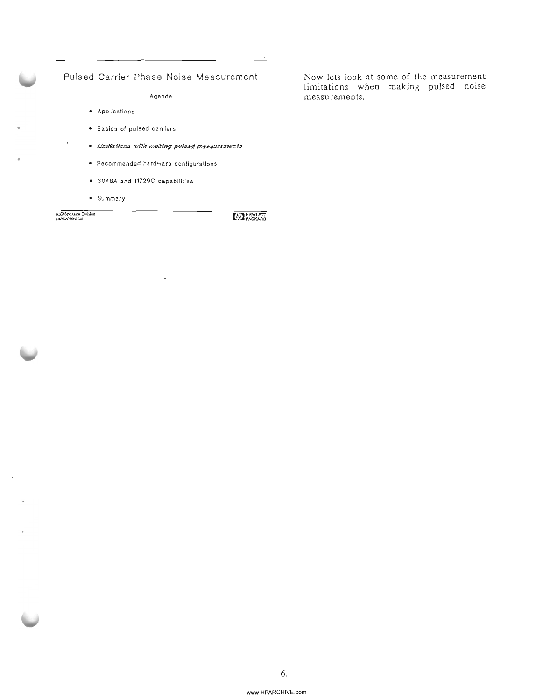### Pulsed Carrier Phase Noise Measurement

Agenda

- Applications
- Basics ot pulsed carriers
- Umittions with making pulsed measurements

 $\ddotsc$ 

- Recommended hardware configurations
- 3048A and 11729C capabilities
- Summary

**CG/Spokane Division** 

 $\epsilon$ 

**AP HEWLETT** 

Now lets look at some of the measurement limitations when making pulsed noise measurements.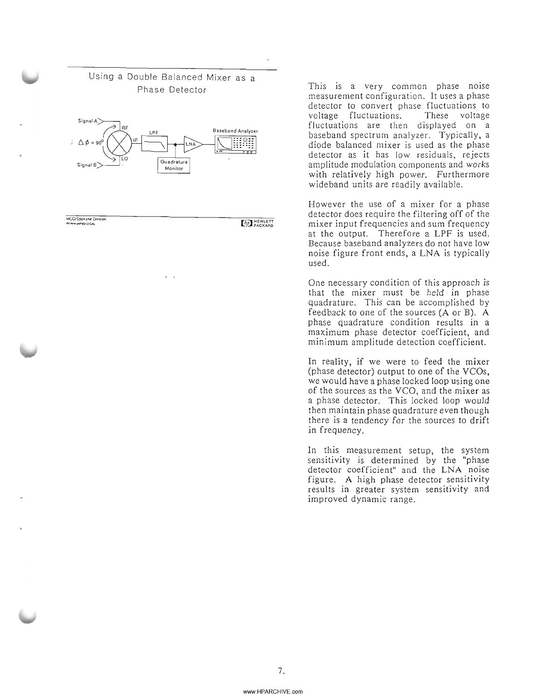



**MCG/Spokane Crission**  $\frac{1}{2}$ 

**EMPLETT** 

Phase Detector This is a very common phase noise measurement configuration. It uses a phase detector to convert phase fluctuations to voltage fluctuations. These voltage fluctuations are then displayed on a baseband spectrum analyzer. Typically, a diode balanced mixer is used as the phase detector as it has low residuals, rejects amplitude modulation components and works with relatively high power. Furthermore wideband units are readily available.

> However the use of a mixer for a phase detector does require the filtering off of the mixer input frequencies and sum frequency at the output. Therefore a LPF is used. Because baseband analyzers do not have low noise figure front ends, a LNA is typically used.

> One necessary condition of this approach is that the mixer must be held in phase quadrature. This can be accomplished by feedback to one of the sources (A or B). A phase quadrature condition results in a maximum phase detector coefficient, and minimum amplitude detection coefficient.

> In reality, if we were to feed the mixer (phase detector) output to one of the YCOs, we would have a phase locked loop using one of the sources as the VCO, and the mixer as a phase detector. This locked loop would then maintain phase quadrature even though there is a tendency for the sources to drift in frequency.

> In this measurement setup, the system sensitivity is determined by the "phase detector coefficient" and the LNA noise figure. A high phase detector sensitivity results in greater system sensitivity and improved dynamic range.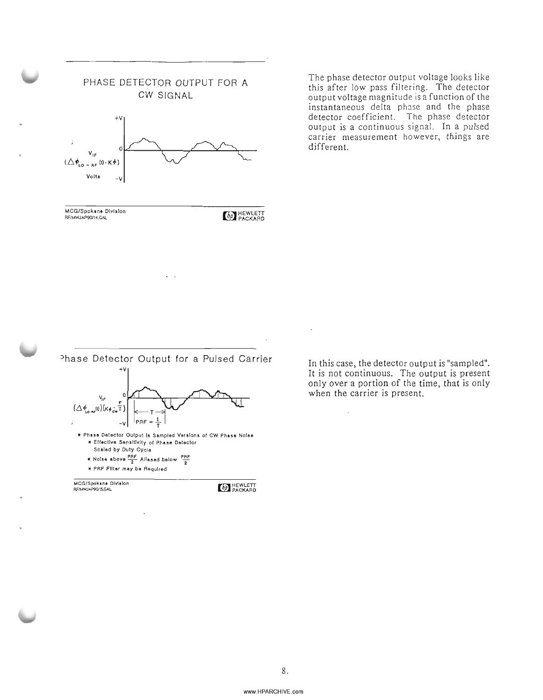

The phase detector output voltage looks like this after low pass filtering. The detector output voltage magnitude is a function of the instantaneous delta phase and the phase detector coefficient. The phase detector output is a continuous signal. In a pulsed carrier measurement however, things are different.



MCG/Spokane Division **REGISPORATION CONTROLS IN THE SECOND AND REWLETT AND REWLETT AND REWLETT AND REWLETT AND REWLETT AND REWLETT** 

In this case, the detector output is "sampled". It is not continuous. The output is present only over a portion of the time, that is only when the carrier is present.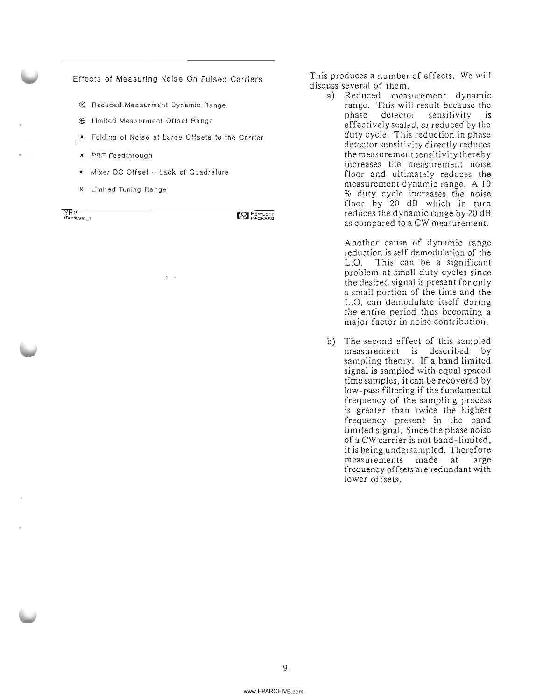#### Effects of Measuring Noise On Pulsed Carriers

- ® Reduced Measurment Dynamic Range
- ® Limited Measurment Offset Range
- \* Folding of Noise at Large Offsets to the Carrier
- \* PRF Feedthrough
- \* Mixer DC Offset Lack of Quadrature
- \* Limited Tuning Range

YHP **\T&M9O\RF\_,**

**ED HEWLETT** 

This produces a number of effects. We will discuss several of them.

> a) Reduced measurement dynamic range. This will result because the phase detector sensitivity is effectively scaled, or reduced by the duty cycle. This reduction in phase detector sensitivity directly reduces the measurement sensitivity thereby increases the measurement noise floor and ultimately reduces the measurement dynamic range. A 10 % duty cycle increases the noise floor by 20 dB which in turn reduces the dynamic range by 20 dB as compared to a CW measurement.

> > Another cause of dynamic range reduction is self demodulation of the L.O. This can be a significant problem at small duty cycles since the desired signal is present for only a small portion of the time and the L.O. can demodulate itself during the entire period thus becoming a major factor in noise contribution.

b) The second effect of this sampled measurement is described by sampling theory. If a band limited signal is sampled with equal spaced time samples, it can be recovered by low-pass filtering if the fundamental frequency of the sampling process is greater than twice the highest frequency present in the band limited signal. Since the phase noise of a CW carrier is not band-limited, it is being undersampled. Therefore measurements made at large frequency offsets are redundant with lower offsets.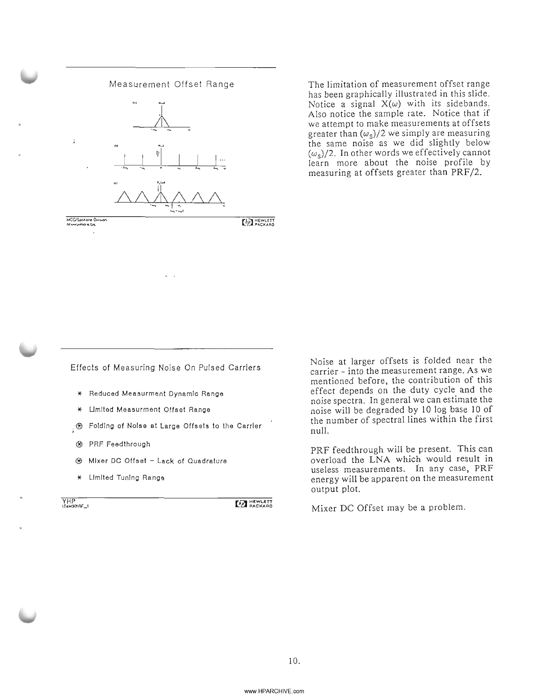

The limitation of measurement offset range has been graphically illustrated in this slide. Notice a signal  $X(\omega)$  with its sidebands. Also notice the sample rate. Notice that if we attempt to make measurements at offsets greater than  $(\omega_s)/2$  we simply are measuring the same noise as we did slightly below  $(\omega_s)/2$ . In other words we effectively cannot learn more about the noise profile by measuring at offsets greater than PRF/2.

Effects of Measuring Noise On Pulsed Carriers

- \* Reduced Measurment DynamIc Range
- Limited Measurment Offset Range
- $\frac{1}{2}$   $\circledast$  Folding of Noise at Large Offsets to the Carrier
- ® PRF Feedthrough
- ® Mixer DC Offset Lack of Quadrature
- \* LImited Tuning Range

YHP

**MENGETT** 

Noise at larger offsets is folded near the carrier - into the measurement range. As we mentioned before, the contribution of this effect depends on the duty cycle and the noise spectra. In general we can estimate the noise will be degraded by 10 log base 10 of the number of spectral lines within the first null.

PRF feedthrough will be present. This can overload the LNA which would result in useless measurements. In any case, PRF energy will be apparent on the measurement output plot.

Mixer DC Offset may be a problem.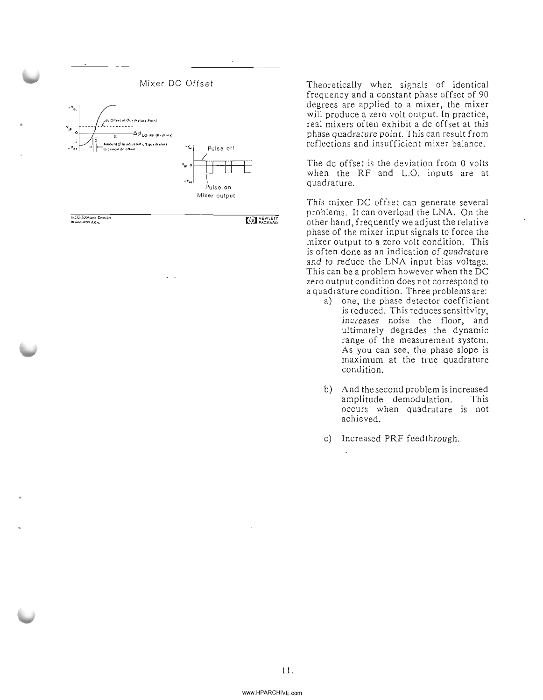

**MCCtSPOk.)M 0,...,.:"",** *Al'IO.NI,JJ.P?OIII.COAl*

**Chp HEWLETT** 

Theoretically when signals of identical frequency and a constant phase offset of 90 degrees are applied to a mixer, the mixer will produce a zero volt output. In practice, real mixers often exhibit a dc offset at this phase quadrature point. This can result from reflections and insufficient mixer balance.

The dc offset is the deviation from 0 volts when the RF and L.O. inputs are at quadrature.

This mixer DC offset can generate several problems. It can overload the LNA. On the other hand, frequently we adjust the relative phase of the mixer input signals to force the mixer output to a zero volt condition. This is often done as an indication of quadrature and to reduce the LNA input bias voltage. This can be a problem however when the DC zero output condition does not correspond to a quadrature condition. Three problems are:

- a) one, the phase detector coefficient is reduced. This reduces sensitivity, increases noise the floor, and ultimately degrades the dynamic range of the measurement system. As you can see, the phase slope is maximum at the true quadrature condition.
- b) And the second problem is increased amplitude demodulation. This occurs when quadrature is not achieved.
- c) Increased PRF feed through.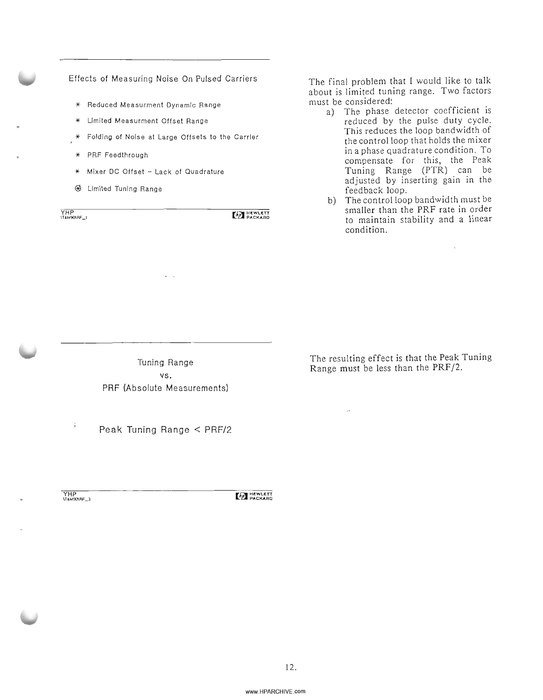#### Effects of Measuring Noise On Pulsed Carriers

- \* Reduced Measurment Dynamic Range
- \* Limited Measurment Offset Range
- Folding of Noise at Large Offsets to the Carrier
- \* PRF Feedthrough
- \* Mixer DC Offset Lack of Quadrature
- @ Limited Tuning Range

YHP<br>ITAM901AF\_1

**MA HEWLETT** 

The final problem that I would like to talk about is limited tuning range. Two factors must be considered:

- a) The phase detector coefficient is reduced by the pulse duty cycle. This reduces the loop bandwidth of the control loop that holds the mixer in a phase quadrature condition. To compensate for this, the Peak Tuning Range (PTR) can be adjusted by inserting gain in the feedback loop.
- b) The control loop bandwidth must be smaller than the PRF rate in order to maintain stability and a linear condition.

Tuning Range vs. PRF (Absolute Measurements)

Peak Tuning Range < PRF/2

YHP<br>VT4M901RF\_3

**ED HEWLETT** 

The resulting effect is that the Peak Tuning Range must be less than the PRF/2.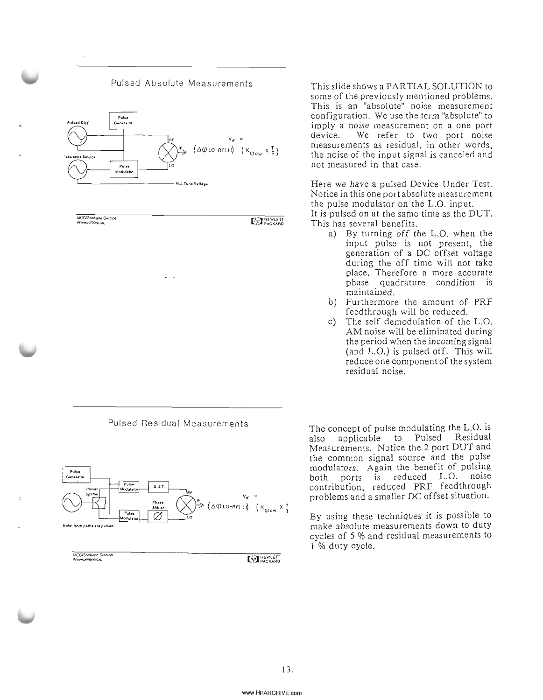



MCG/Spokane Dinsion<br>Rennumerancu

**ED HEWLETT** 

This slide shows a PARTIAL SOLUTION to some of the previously mentioned problems. This is an "absolute" noise measurement configuration. We use the term "absolute" to imply a noise measurement on a one port device. We refer to two port noise measurements as residual, in other words, the noise of the input signal is canceled and not measured in that case.

Here we have a pulsed Device Under Test. Notice in this one port absolute measurement the pulse modulator on the L.O. input. It is pulsed on at the same time as the DUT.

- This has several benefits.
	- a) By turning off the L.O. when the input pulse is not present, the generation of a DC offset voltage during the off time will not take place. Therefore a more accurate phase quadrature condition is maintained.
	- b) Furthermore the amount of PRF feed through will be reduced.
	- c) The self demodulation of the L.O. AM noise will be eliminated during the period when the incoming signal (and L.O.) is pulsed off. This will reduce one component of the system residual noise.

The concept of pulse modulating the L.O. is also applicable to Pulsed Residual Measurements. Notice the 2 port DUT and the common signal source and the pulse modulators. Again the benefit of pulsing both ports is reduced L.O. noise contribution, reduced PRF feedthrough problems and a smaller DC offset situation.

By using these techniques it is possible to make absolute measurements down to duty cycles of 5 % and residual measurements to 1 % duty cycle.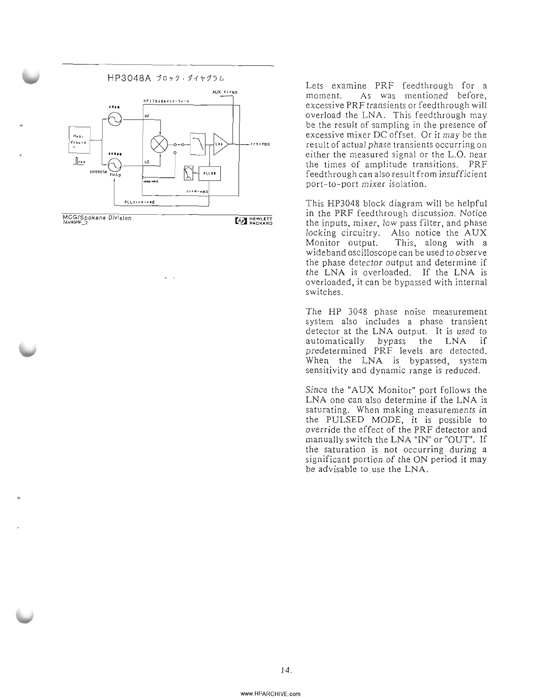

•

Lets examine PRF feed through for a moment. As was mentioned before, excessive PRF transients or feedthrough will overload the LNA. This feed through may be the result of sampling in the presence of excessive mixer DC offset. Or it may be the result of actual phase transients occurring on either the measured signal or the L.O. near the times of amplitude transitions. PRF feed through can also result from insufficient port-to-port mixer isolation.

This HP3048 block diagram will be helpful in the PRF feed through discussion. Notice the inputs, mixer, low pass filter, and phase locking circuitry. Also notice the AUX Monitor output. This, along with a wideband oscilloscope can be used to observe the phase detector output and determine if the LNA is overloaded. If the LNA is overloaded, it can be bypassed with internal switches.

The HP 3048 phase noise measurement system also includes a phase transient detector at the LNA output. It is used to automatically bypass the LNA if predetermined PRF levels are detected. When the LNA is bypassed, system sensitivity and dynamic range is reduced.

Since the "AUX Monitor" port follows the LNA one can also determine if the LNA is saturating. When making measurements in the PULSED MODE, it is possible to override the effect of the PRF detector and manually switch the LNA "IN" or "OUT". If the saturation is not occurring during a significant portion of the ON period it may be advisable to .use the LNA.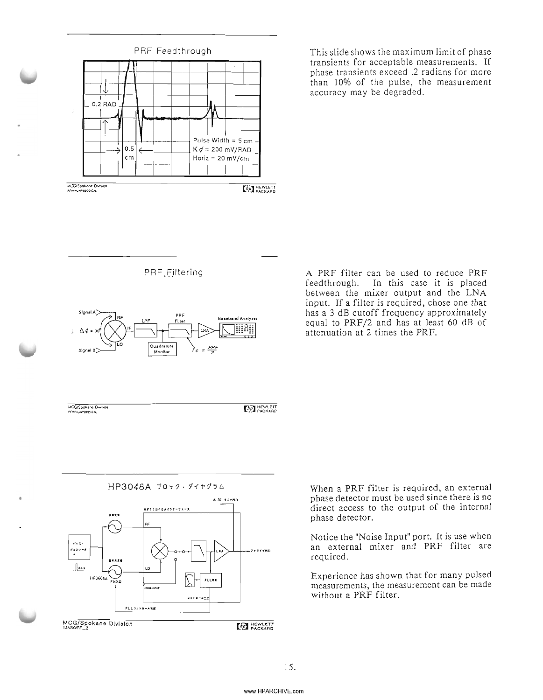

This slide shows the maximum limit of phase transients for acceptable measurements. If phase transients exceed .2 radians for more than 10% of the pulse, the measurement accuracy may be degraded.

PRF Filtering



A PRF filter can be used to reduce PRF feedthrough. In this case it is placed between the mixer output and the LNA input. If a filter is required, chose one that has a 3 dB cutoff frequency approximately equal to PRF/2 and has at least 60 dB of attenuation at 2 times the PRF.

MCG/Spokane Division **AV HAPPORT CA** 

 $[h]$ 



When a PRF filter is required, an external phase detector must be used since there is no direct access to the output of the internal phase detector.

Notice the "Noise Input" port. It is use when an external mixer and PRF filter are required.

Experience has shown that for many pulsed measurements, the measurement can be made without a PRF filter.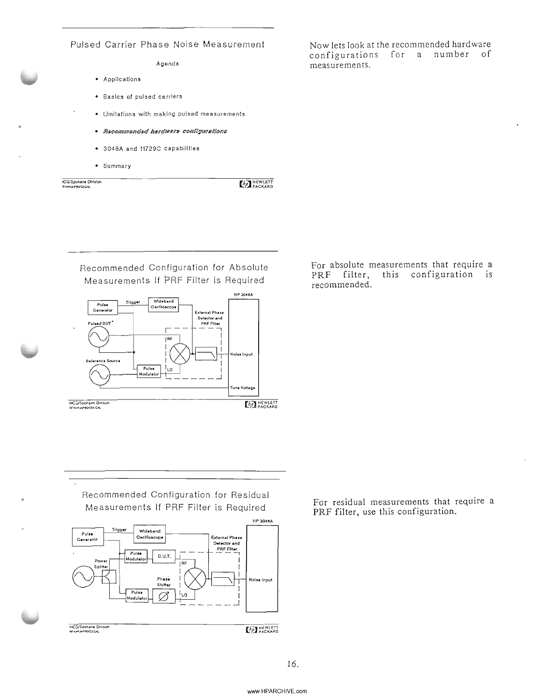# Pulsed Carrier Phase Noise Measurement

#### Agenda

- Applications
- Basics of pulsed carrIers
- Umilations with making pulsed measurements
	- · Recommended hardwere conligurations
	- 3048A and 11729C capabilities
	- Summary

**4CG/Spokane Division** 

**EMPLET** HEWLETT

Recommended Configuration for Absolute Measurements If PRF Filter is Required



• Recommended Configuration. for Residual Measurements If PRF Filter is Required For residual measurements that require a



Now lets look at the recommended hardware configurations for a number of measurements.

For absolute measurements that require a<br>PRF filter, this configuration is this configuration is recommended.

PRF filter, use this configuration.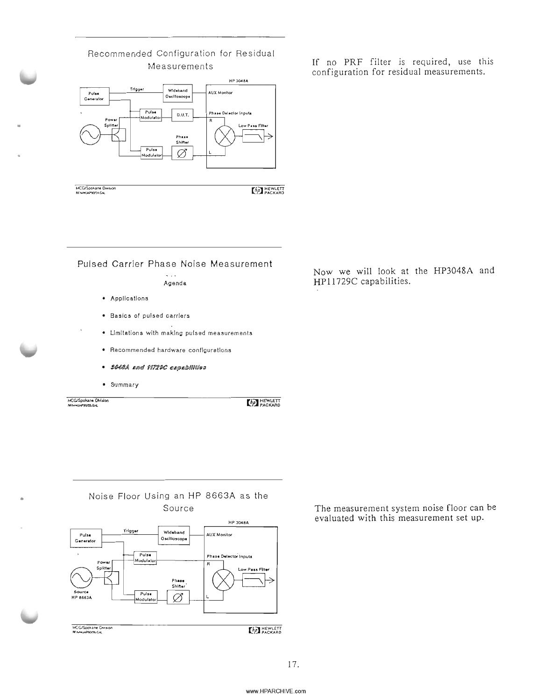

Recommended Configuration for Residual

Measurements If no PRF filter is required, use this configuration for residual measurements.

Pulsed Carrier Phase Noise Measurement

 $\ddotsc$ Agenda

- Applications
- Basics of pulsed carriers
- Limitations with making pulsed measurements
- Recommended hardware configurations
- · SOOSA and 11729C capabilities
- Summary

MCG/Spokane DMsion **REMOKLAPSOZICAL** 

**CONTRACKARD** 

• Noise Floor Using an HP 8663A as the Source



The measurement system noise floor can be evaluated with this measurement set up.

Now we will look at the HP3048A and HP11729C capabilities.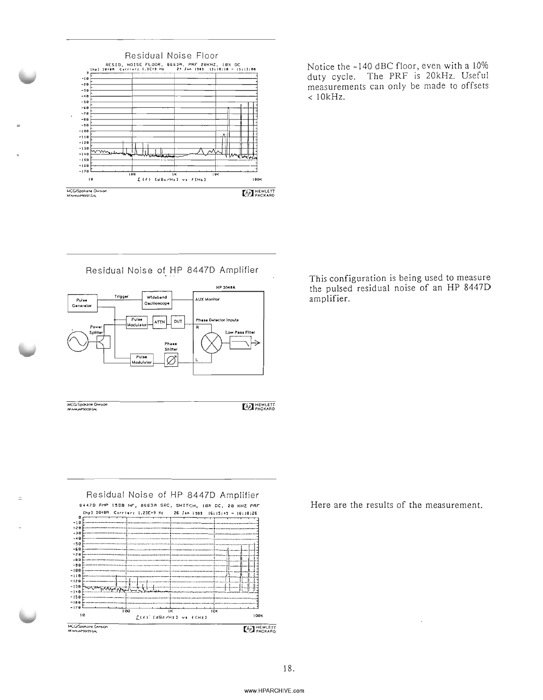

Notice the -140 dBC floor, even with a 10% duty cycle. The PRF is 20kHz. Useful measurements can only be made to offsets  $< 10kHz.$ 

Residual Noise of HP 8447D Amplifier



MCG/Spokane Dwsuon<br>NGC/Spokane Dwsuon

 $\bar{z}$ 

**CAP HEWLETT** 



This configuration is being used to measure the pulsed residual noise of an HP 8447D amplifier.

Here are the results of the measurement.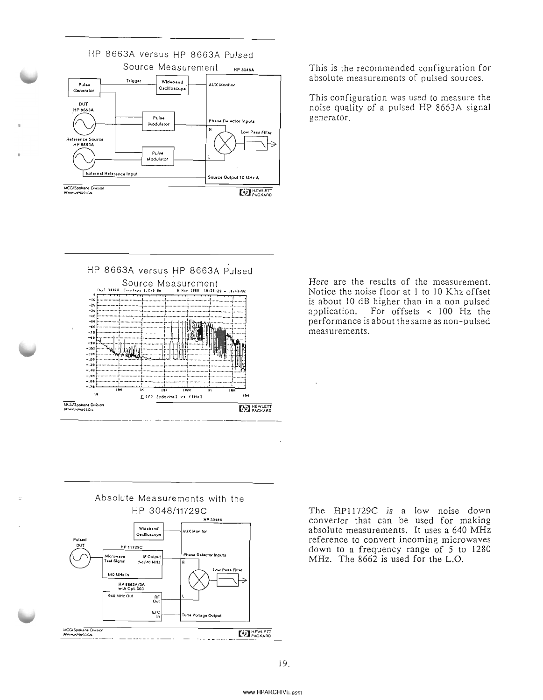

This is the recommended configuration for absolute measurements of pulsed sources.

This configuration was used to measure the noise quality of a pulsed HP 8663A signal generator.



Here are the results of the measurement. Notice the noise floor at 1 to 10 Khz offset is about 10 dB higher than in a non pulsed For offsets  $\langle 100 \rangle$  Hz the application. performance is about the same as non-pulsed measurements.



The HP11729C is a low noise down converter that can be used for making absolute measurements. It uses a 640 MHz reference to convert incoming microwaves down to a frequency range of 5 to 1280 MHz. The 8662 is used for the L.O.

19.